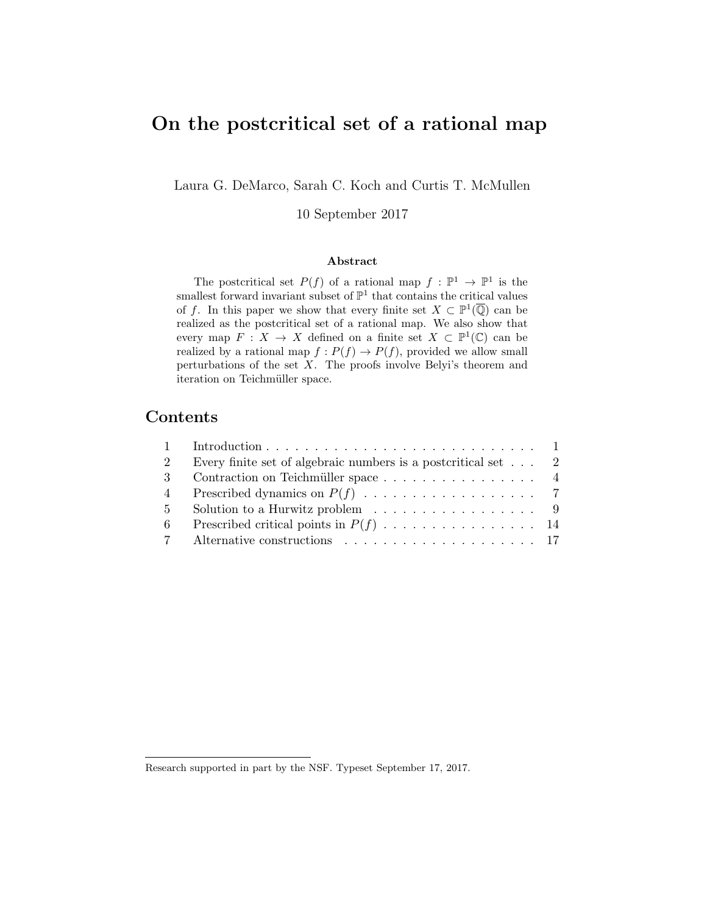# On the postcritical set of a rational map

Laura G. DeMarco, Sarah C. Koch and Curtis T. McMullen

10 September 2017

#### Abstract

The postcritical set  $P(f)$  of a rational map  $f : \mathbb{P}^1 \to \mathbb{P}^1$  is the smallest forward invariant subset of  $\mathbb{P}^1$  that contains the critical values of f. In this paper we show that every finite set  $X \subset \mathbb{P}^1(\overline{\mathbb{Q}})$  can be realized as the postcritical set of a rational map. We also show that every map  $F: X \to X$  defined on a finite set  $X \subset \mathbb{P}^1(\mathbb{C})$  can be realized by a rational map  $f: P(f) \to P(f)$ , provided we allow small perturbations of the set  $X$ . The proofs involve Belyi's theorem and iteration on Teichmüller space.

### Contents

| $\mathcal{D}$ | Every finite set of algebraic numbers is a postcritical set $\ldots$ 2 |  |
|---------------|------------------------------------------------------------------------|--|
| $\mathbf{3}$  | Contraction on Teichmüller space 4                                     |  |
| 4             |                                                                        |  |
| $5 -$         | Solution to a Hurwitz problem $\ldots \ldots \ldots \ldots \ldots$ 9   |  |
| -6            |                                                                        |  |
|               |                                                                        |  |

Research supported in part by the NSF. Typeset September 17, 2017.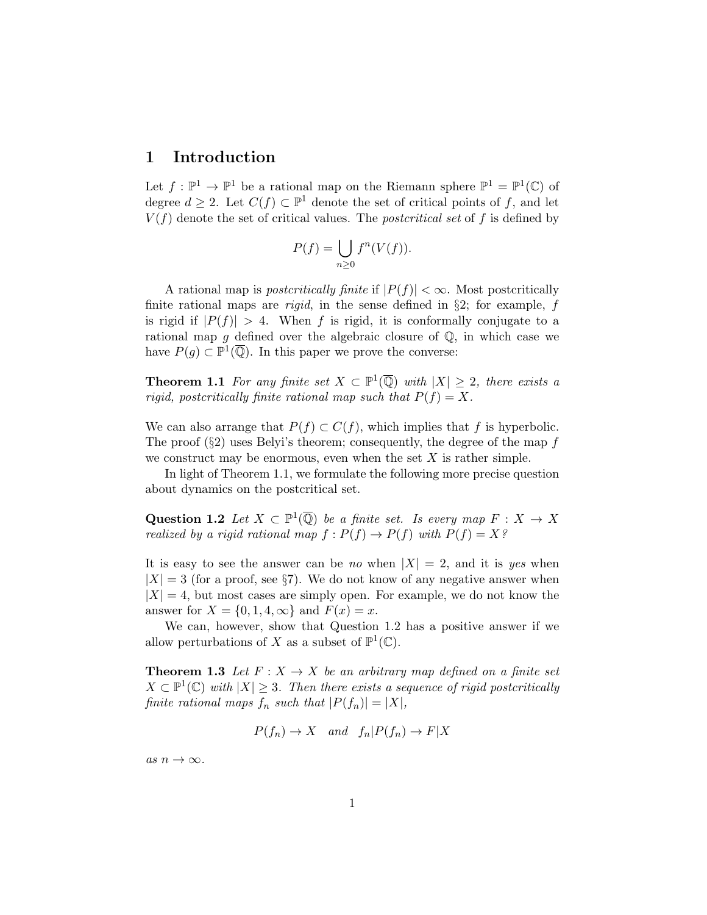### 1 Introduction

Let  $f: \mathbb{P}^1 \to \mathbb{P}^1$  be a rational map on the Riemann sphere  $\mathbb{P}^1 = \mathbb{P}^1(\mathbb{C})$  of degree  $d \geq 2$ . Let  $C(f) \subset \mathbb{P}^1$  denote the set of critical points of f, and let  $V(f)$  denote the set of critical values. The *postcritical set* of f is defined by

$$
P(f) = \bigcup_{n \geq 0} f^n(V(f)).
$$

A rational map is *postcritically finite* if  $|P(f)| < \infty$ . Most postcritically finite rational maps are *rigid*, in the sense defined in  $\S2$ ; for example, f is rigid if  $|P(f)| > 4$ . When f is rigid, it is conformally conjugate to a rational map g defined over the algebraic closure of  $\mathbb{Q}$ , in which case we have  $P(g) \subset \mathbb{P}^1(\overline{\mathbb{Q}})$ . In this paper we prove the converse:

**Theorem 1.1** For any finite set  $X \subset \mathbb{P}^1(\overline{\mathbb{Q}})$  with  $|X| \geq 2$ , there exists a rigid, postcritically finite rational map such that  $P(f) = X$ .

We can also arrange that  $P(f) \subset C(f)$ , which implies that f is hyperbolic. The proof  $(\S 2)$  uses Belyi's theorem; consequently, the degree of the map f we construct may be enormous, even when the set  $X$  is rather simple.

In light of Theorem 1.1, we formulate the following more precise question about dynamics on the postcritical set.

Question 1.2 Let  $X \subset \mathbb{P}^1(\overline{\mathbb{Q}})$  be a finite set. Is every map  $F : X \to X$ realized by a rigid rational map  $f: P(f) \to P(f)$  with  $P(f) = X$ ?

It is easy to see the answer can be no when  $|X| = 2$ , and it is yes when  $|X| = 3$  (for a proof, see §7). We do not know of any negative answer when  $|X| = 4$ , but most cases are simply open. For example, we do not know the answer for  $X = \{0, 1, 4, \infty\}$  and  $F(x) = x$ .

We can, however, show that Question 1.2 has a positive answer if we allow perturbations of X as a subset of  $\mathbb{P}^1(\mathbb{C})$ .

**Theorem 1.3** Let  $F: X \to X$  be an arbitrary map defined on a finite set  $X \subset \mathbb{P}^1(\mathbb{C})$  with  $|X| \geq 3$ . Then there exists a sequence of rigid postcritically finite rational maps  $f_n$  such that  $|P(f_n)| = |X|$ ,

$$
P(f_n) \to X
$$
 and  $f_n|P(f_n) \to F|X$ 

as  $n \to \infty$ .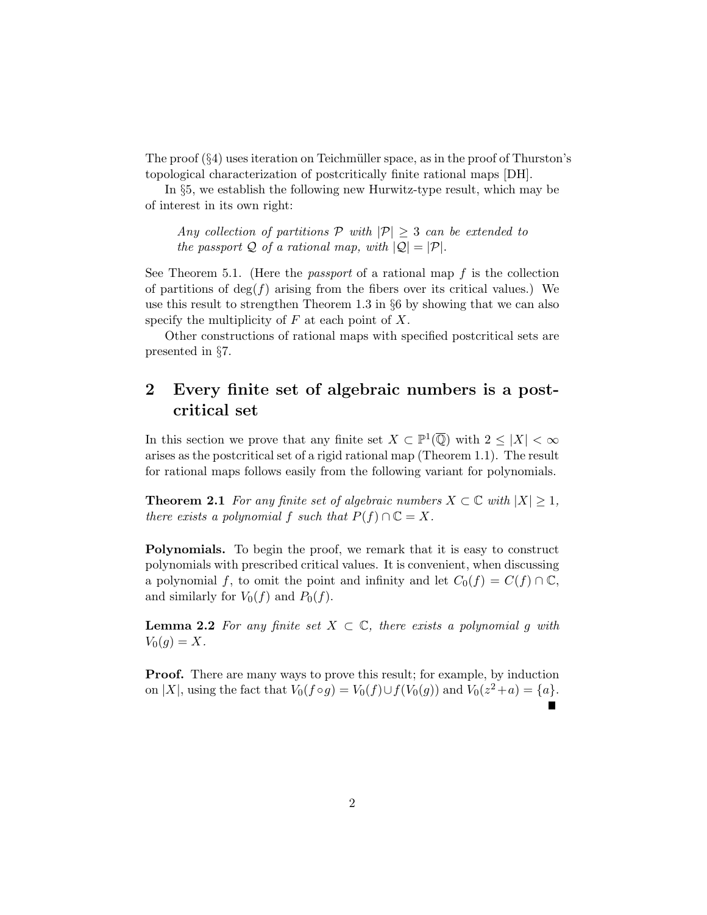The proof  $(\S 4)$  uses iteration on Teichmüller space, as in the proof of Thurston's topological characterization of postcritically finite rational maps [DH].

In §5, we establish the following new Hurwitz-type result, which may be of interest in its own right:

Any collection of partitions  $P$  with  $|P| \geq 3$  can be extended to the passport Q of a rational map, with  $|Q| = |P|$ .

See Theorem 5.1. (Here the *passport* of a rational map  $f$  is the collection of partitions of  $deg(f)$  arising from the fibers over its critical values.) We use this result to strengthen Theorem 1.3 in §6 by showing that we can also specify the multiplicity of  $F$  at each point of  $X$ .

Other constructions of rational maps with specified postcritical sets are presented in §7.

## 2 Every finite set of algebraic numbers is a postcritical set

In this section we prove that any finite set  $X \subset \mathbb{P}^1(\overline{\mathbb{Q}})$  with  $2 \leq |X| < \infty$ arises as the postcritical set of a rigid rational map (Theorem 1.1). The result for rational maps follows easily from the following variant for polynomials.

**Theorem 2.1** For any finite set of algebraic numbers  $X \subset \mathbb{C}$  with  $|X| \geq 1$ , there exists a polynomial f such that  $P(f) \cap \mathbb{C} = X$ .

Polynomials. To begin the proof, we remark that it is easy to construct polynomials with prescribed critical values. It is convenient, when discussing a polynomial f, to omit the point and infinity and let  $C_0(f) = C(f) \cap \mathbb{C}$ , and similarly for  $V_0(f)$  and  $P_0(f)$ .

**Lemma 2.2** For any finite set  $X \subset \mathbb{C}$ , there exists a polynomial g with  $V_0(g) = X.$ 

**Proof.** There are many ways to prove this result; for example, by induction on |X|, using the fact that  $V_0(f \circ g) = V_0(f) \cup f(V_0(g))$  and  $V_0(z^2 + a) = \{a\}.$  $\blacksquare$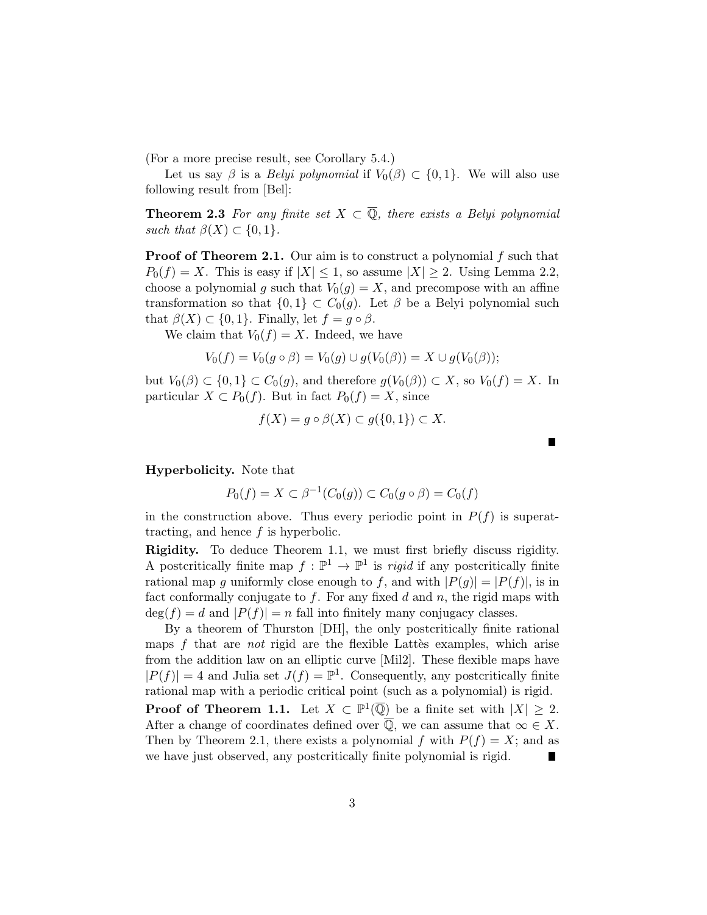(For a more precise result, see Corollary 5.4.)

Let us say  $\beta$  is a *Belyi polynomial* if  $V_0(\beta) \subset \{0, 1\}$ . We will also use following result from [Bel]:

**Theorem 2.3** For any finite set  $X \subset \overline{Q}$ , there exists a Belyi polynomial such that  $\beta(X) \subset \{0,1\}.$ 

**Proof of Theorem 2.1.** Our aim is to construct a polynomial f such that  $P_0(f) = X$ . This is easy if  $|X| \leq 1$ , so assume  $|X| \geq 2$ . Using Lemma 2.2, choose a polynomial g such that  $V_0(g) = X$ , and precompose with an affine transformation so that  $\{0,1\} \subset C_0(g)$ . Let  $\beta$  be a Belyi polynomial such that  $\beta(X) \subset \{0,1\}$ . Finally, let  $f = g \circ \beta$ .

We claim that  $V_0(f) = X$ . Indeed, we have

$$
V_0(f) = V_0(g \circ \beta) = V_0(g) \cup g(V_0(\beta)) = X \cup g(V_0(\beta));
$$

but  $V_0(\beta) \subset \{0,1\} \subset C_0(g)$ , and therefore  $g(V_0(\beta)) \subset X$ , so  $V_0(f) = X$ . In particular  $X \subset P_0(f)$ . But in fact  $P_0(f) = X$ , since

$$
f(X) = g \circ \beta(X) \subset g(\{0, 1\}) \subset X.
$$

Hyperbolicity. Note that

$$
P_0(f) = X \subset \beta^{-1}(C_0(g)) \subset C_0(g \circ \beta) = C_0(f)
$$

in the construction above. Thus every periodic point in  $P(f)$  is superattracting, and hence  $f$  is hyperbolic.

Rigidity. To deduce Theorem 1.1, we must first briefly discuss rigidity. A postcritically finite map  $f: \mathbb{P}^1 \to \mathbb{P}^1$  is *rigid* if any postcritically finite rational map q uniformly close enough to f, and with  $|P(q)| = |P(f)|$ , is in fact conformally conjugate to  $f$ . For any fixed  $d$  and  $n$ , the rigid maps with  $deg(f) = d$  and  $|P(f)| = n$  fall into finitely many conjugacy classes.

By a theorem of Thurston [DH], the only postcritically finite rational maps  $f$  that are *not* rigid are the flexible Lattes examples, which arise from the addition law on an elliptic curve [Mil2]. These flexible maps have  $|P(f)| = 4$  and Julia set  $J(f) = \mathbb{P}^1$ . Consequently, any postcritically finite rational map with a periodic critical point (such as a polynomial) is rigid.

**Proof of Theorem 1.1.** Let  $X \subset \mathbb{P}^1(\overline{\mathbb{Q}})$  be a finite set with  $|X| \geq 2$ . After a change of coordinates defined over  $\overline{Q}$ , we can assume that  $\infty \in X$ . Then by Theorem 2.1, there exists a polynomial f with  $P(f) = X$ ; and as we have just observed, any postcritically finite polynomial is rigid.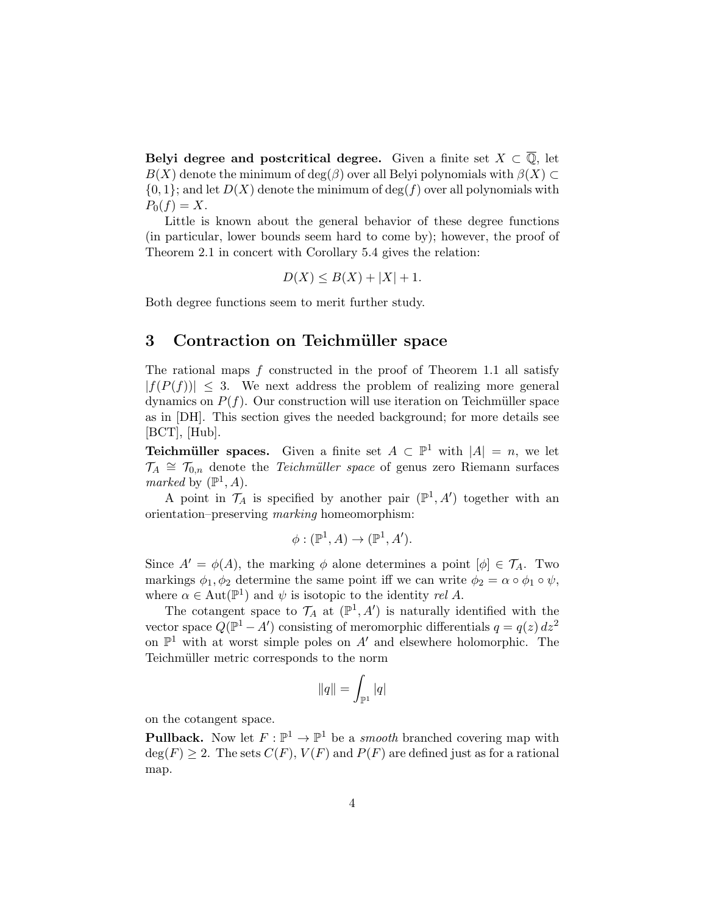Belyi degree and postcritical degree. Given a finite set  $X \subset \overline{Q}$ , let  $B(X)$  denote the minimum of deg( $\beta$ ) over all Belyi polynomials with  $\beta(X) \subset$  $\{0,1\}$ ; and let  $D(X)$  denote the minimum of  $\deg(f)$  over all polynomials with  $P_0(f) = X.$ 

Little is known about the general behavior of these degree functions (in particular, lower bounds seem hard to come by); however, the proof of Theorem 2.1 in concert with Corollary 5.4 gives the relation:

$$
D(X) \le B(X) + |X| + 1.
$$

Both degree functions seem to merit further study.

#### 3 Contraction on Teichmüller space

The rational maps f constructed in the proof of Theorem 1.1 all satisfy  $|f(P(f))| \leq 3$ . We next address the problem of realizing more general dynamics on  $P(f)$ . Our construction will use iteration on Teichmüller space as in [DH]. This section gives the needed background; for more details see  $[BCT]$ ,  $[Hub]$ .

**Teichmüller spaces.** Given a finite set  $A \subset \mathbb{P}^1$  with  $|A| = n$ , we let  $\mathcal{T}_A \cong \mathcal{T}_{0,n}$  denote the *Teichmüller space* of genus zero Riemann surfaces marked by  $(\mathbb{P}^1, A)$ .

A point in  $\mathcal{T}_A$  is specified by another pair  $(\mathbb{P}^1, A')$  together with an orientation–preserving marking homeomorphism:

$$
\phi: (\mathbb{P}^1, A) \to (\mathbb{P}^1, A').
$$

Since  $A' = \phi(A)$ , the marking  $\phi$  alone determines a point  $[\phi] \in \mathcal{T}_A$ . Two markings  $\phi_1, \phi_2$  determine the same point iff we can write  $\phi_2 = \alpha \circ \phi_1 \circ \psi$ , where  $\alpha \in \text{Aut}(\mathbb{P}^1)$  and  $\psi$  is isotopic to the identity rel A.

The cotangent space to  $\mathcal{T}_A$  at  $(\mathbb{P}^1, A')$  is naturally identified with the vector space  $Q(\mathbb{P}^1 - A')$  consisting of meromorphic differentials  $q = q(z) dz^2$ on  $\mathbb{P}^1$  with at worst simple poles on A' and elsewhere holomorphic. The Teichmüller metric corresponds to the norm

$$
\|q\|=\int_{\mathbb{P}^1}|q|
$$

on the cotangent space.

**Pullback.** Now let  $F: \mathbb{P}^1 \to \mathbb{P}^1$  be a *smooth* branched covering map with  $deg(F) \geq 2$ . The sets  $C(F)$ ,  $V(F)$  and  $P(F)$  are defined just as for a rational map.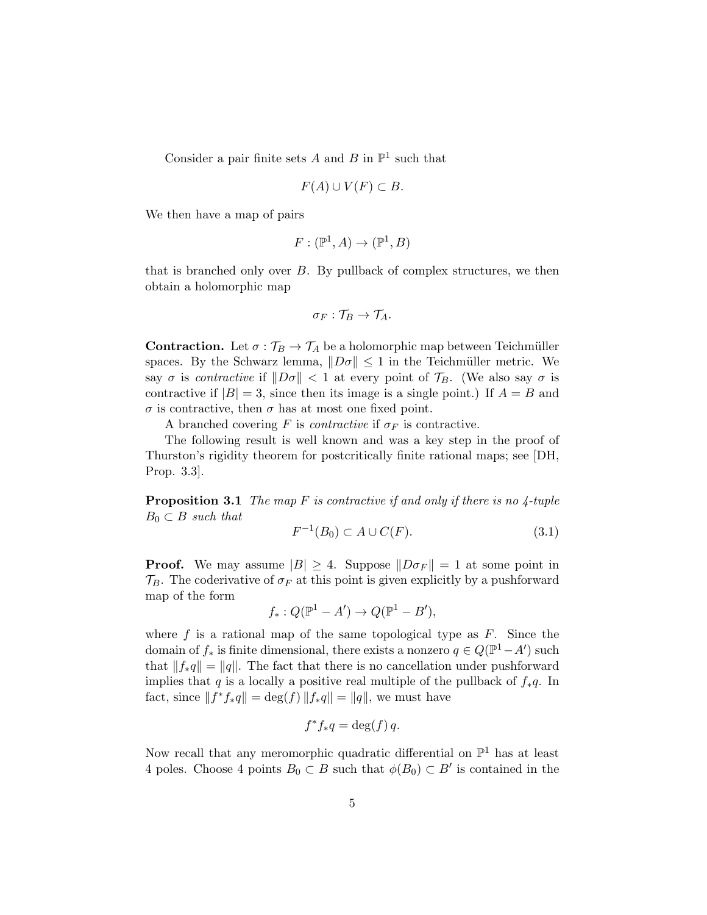Consider a pair finite sets A and B in  $\mathbb{P}^1$  such that

$$
F(A) \cup V(F) \subset B
$$

We then have a map of pairs

$$
F: (\mathbb{P}^1, A) \to (\mathbb{P}^1, B)
$$

that is branched only over  $B$ . By pullback of complex structures, we then obtain a holomorphic map

$$
\sigma_F: \mathcal{T}_B \to \mathcal{T}_A.
$$

**Contraction.** Let  $\sigma : \mathcal{T}_B \to \mathcal{T}_A$  be a holomorphic map between Teichmüller spaces. By the Schwarz lemma,  $||D\sigma|| \leq 1$  in the Teichmüller metric. We say  $\sigma$  is contractive if  $\|D\sigma\| < 1$  at every point of  $\mathcal{T}_B$ . (We also say  $\sigma$  is contractive if  $|B| = 3$ , since then its image is a single point.) If  $A = B$  and σ is contractive, then σ has at most one fixed point.

A branched covering F is *contractive* if  $\sigma_F$  is contractive.

The following result is well known and was a key step in the proof of Thurston's rigidity theorem for postcritically finite rational maps; see [DH, Prop. 3.3].

**Proposition 3.1** The map F is contractive if and only if there is no  $\frac{1}{4}$ -tuple  $B_0 \subset B$  such that

$$
F^{-1}(B_0) \subset A \cup C(F). \tag{3.1}
$$

**Proof.** We may assume  $|B| \geq 4$ . Suppose  $||D\sigma_F|| = 1$  at some point in  $\mathcal{T}_B$ . The coderivative of  $\sigma_F$  at this point is given explicitly by a pushforward map of the form

$$
f_*: Q(\mathbb{P}^1 - A') \to Q(\mathbb{P}^1 - B'),
$$

where  $f$  is a rational map of the same topological type as  $F$ . Since the domain of  $f_*$  is finite dimensional, there exists a nonzero  $q \in Q(\mathbb{P}^1 - A')$  such that  $||f_*q|| = ||q||$ . The fact that there is no cancellation under pushforward implies that q is a locally a positive real multiple of the pullback of  $f_*q$ . In fact, since  $|| f^* f_* q || = \deg(f) || f_* q || = || q ||$ , we must have

$$
f^*f_*q = \deg(f) q.
$$

Now recall that any meromorphic quadratic differential on  $\mathbb{P}^1$  has at least 4 poles. Choose 4 points  $B_0 \subset B$  such that  $\phi(B_0) \subset B'$  is contained in the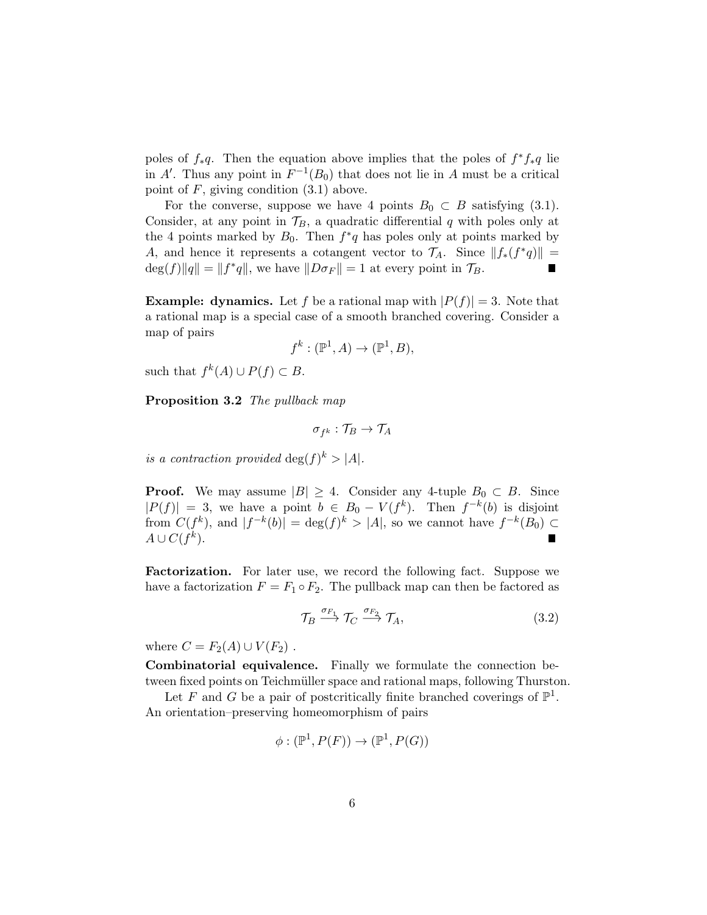poles of  $f_*q$ . Then the equation above implies that the poles of  $f^*f_*q$  lie in A'. Thus any point in  $F^{-1}(B_0)$  that does not lie in A must be a critical point of  $F$ , giving condition  $(3.1)$  above.

For the converse, suppose we have 4 points  $B_0 \subset B$  satisfying (3.1). Consider, at any point in  $\mathcal{T}_B$ , a quadratic differential q with poles only at the 4 points marked by  $B_0$ . Then  $f^*q$  has poles only at points marked by A, and hence it represents a cotangent vector to  $\mathcal{T}_A$ . Since  $||f_*(f^*q)|| =$  $\deg(f) \|q\| = \|f^*q\|$ , we have  $\|D\sigma_F\| = 1$  at every point in  $\mathcal{T}_B$ .  $\blacksquare$ 

**Example:** dynamics. Let f be a rational map with  $|P(f)| = 3$ . Note that a rational map is a special case of a smooth branched covering. Consider a map of pairs

$$
f^k : (\mathbb{P}^1, A) \to (\mathbb{P}^1, B),
$$

such that  $f^k(A) \cup P(f) \subset B$ .

Proposition 3.2 The pullback map

$$
\sigma_{f^k}:\mathcal{T}_B\to\mathcal{T}_A
$$

is a contraction provided  $\deg(f)^k > |A|$ .

**Proof.** We may assume  $|B| \geq 4$ . Consider any 4-tuple  $B_0 \subset B$ . Since  $|P(f)| = 3$ , we have a point  $b \in B_0 - V(f^k)$ . Then  $f^{-k}(b)$  is disjoint from  $C(f^k)$ , and  $|f^{-k}(b)| = \deg(f)^k > |A|$ , so we cannot have  $f^{-k}(B_0) \subset$  $A\cup C(f^k).$ П

Factorization. For later use, we record the following fact. Suppose we have a factorization  $F = F_1 \circ F_2$ . The pullback map can then be factored as

$$
\mathcal{T}_B \xrightarrow{\sigma_{F_1}} \mathcal{T}_C \xrightarrow{\sigma_{F_2}} \mathcal{T}_A,\tag{3.2}
$$

where  $C = F_2(A) \cup V(F_2)$ .

Combinatorial equivalence. Finally we formulate the connection between fixed points on Teichmüller space and rational maps, following Thurston.

Let F and G be a pair of postcritically finite branched coverings of  $\mathbb{P}^1$ . An orientation–preserving homeomorphism of pairs

$$
\phi : (\mathbb{P}^1, P(F)) \to (\mathbb{P}^1, P(G))
$$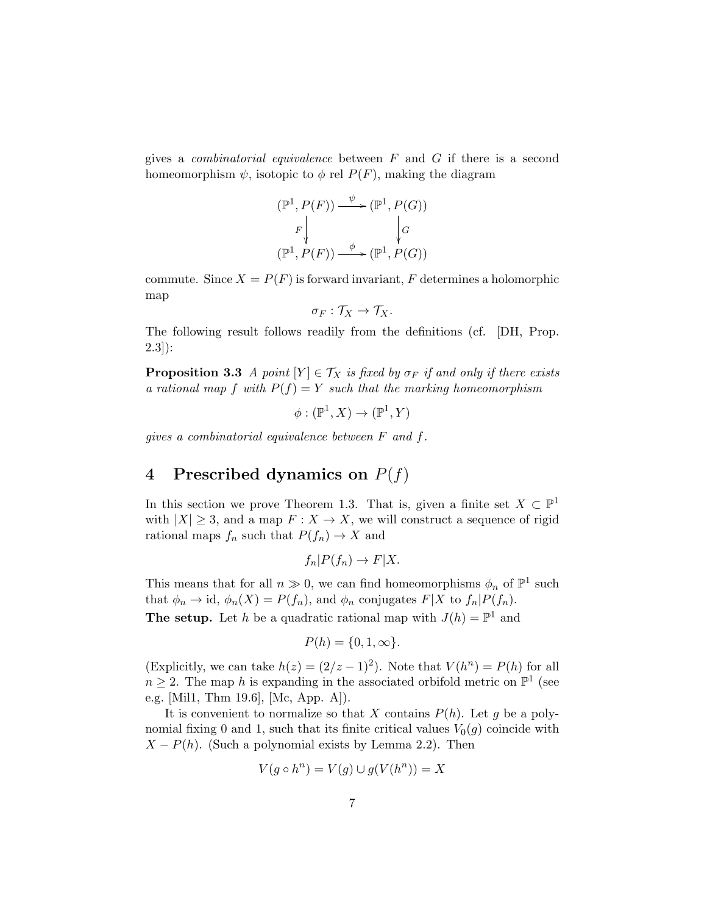gives a *combinatorial equivalence* between  $F$  and  $G$  if there is a second homeomorphism  $\psi$ , isotopic to  $\phi$  rel  $P(F)$ , making the diagram

$$
(\mathbb{P}^1, P(F)) \xrightarrow{\psi} (\mathbb{P}^1, P(G))
$$
  

$$
F \downarrow \qquad \qquad \downarrow G
$$
  

$$
(\mathbb{P}^1, P(F)) \xrightarrow{\phi} (\mathbb{P}^1, P(G))
$$

commute. Since  $X = P(F)$  is forward invariant, F determines a holomorphic map

$$
\sigma_F: \mathcal{T}_X \to \mathcal{T}_X.
$$

The following result follows readily from the definitions (cf. [DH, Prop. 2.3]):

**Proposition 3.3** A point  $[Y] \in \mathcal{T}_X$  is fixed by  $\sigma_F$  if and only if there exists a rational map f with  $P(f) = Y$  such that the marking homeomorphism

 $\phi: (\mathbb{P}^1, X) \to (\mathbb{P}^1, Y)$ 

gives a combinatorial equivalence between F and f.

# 4 Prescribed dynamics on  $P(f)$

In this section we prove Theorem 1.3. That is, given a finite set  $X \subset \mathbb{P}^1$ with  $|X| \geq 3$ , and a map  $F: X \to X$ , we will construct a sequence of rigid rational maps  $f_n$  such that  $P(f_n) \to X$  and

$$
f_n|P(f_n) \to F|X.
$$

This means that for all  $n \gg 0$ , we can find homeomorphisms  $\phi_n$  of  $\mathbb{P}^1$  such that  $\phi_n \to id$ ,  $\phi_n(X) = P(f_n)$ , and  $\phi_n$  conjugates  $F|X$  to  $f_n|P(f_n)$ . **The setup.** Let h be a quadratic rational map with  $J(h) = \mathbb{P}^1$  and

$$
P(h) = \{0, 1, \infty\}.
$$

(Explicitly, we can take  $h(z) = (2/z - 1)^2$ ). Note that  $V(h^n) = P(h)$  for all  $n \geq 2$ . The map h is expanding in the associated orbifold metric on  $\mathbb{P}^1$  (see e.g. [Mil1, Thm 19.6], [Mc, App. A]).

It is convenient to normalize so that X contains  $P(h)$ . Let g be a polynomial fixing 0 and 1, such that its finite critical values  $V_0(g)$  coincide with  $X - P(h)$ . (Such a polynomial exists by Lemma 2.2). Then

$$
V(g \circ h^n) = V(g) \cup g(V(h^n)) = X
$$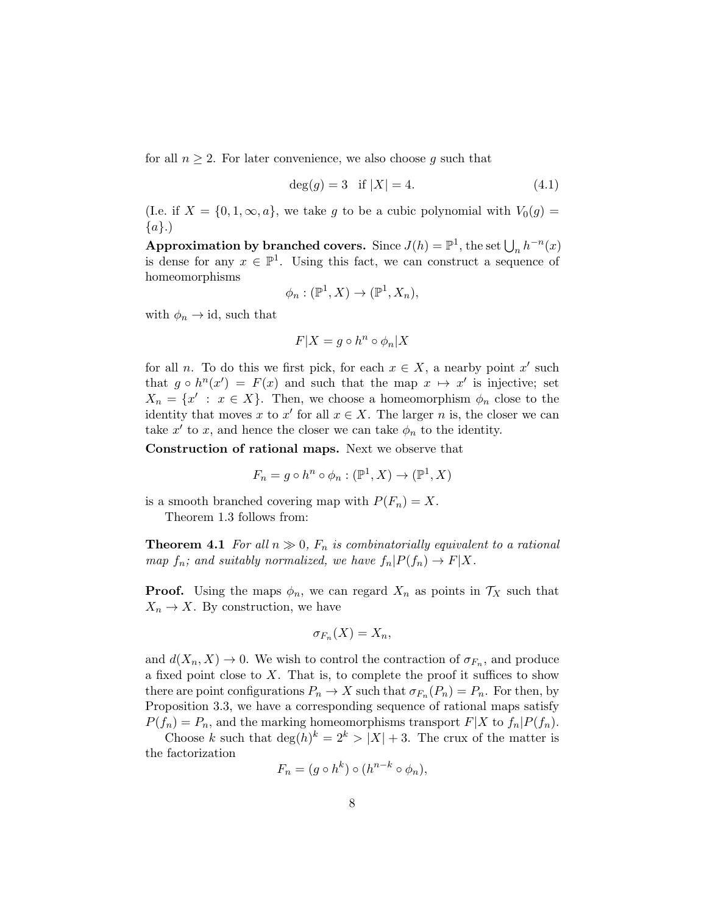for all  $n \geq 2$ . For later convenience, we also choose g such that

$$
deg(g) = 3 \text{ if } |X| = 4. \tag{4.1}
$$

(I.e. if  $X = \{0, 1, \infty, a\}$ , we take g to be a cubic polynomial with  $V_0(g)$  ${a}.$ 

Approximation by branched covers. Since  $J(h) = \mathbb{P}^1$ , the set  $\bigcup_n h^{-n}(x)$ is dense for any  $x \in \mathbb{P}^1$ . Using this fact, we can construct a sequence of homeomorphisms

$$
\phi_n : (\mathbb{P}^1, X) \to (\mathbb{P}^1, X_n),
$$

with  $\phi_n \to id$ , such that

$$
F|X = g \circ h^n \circ \phi_n | X
$$

for all n. To do this we first pick, for each  $x \in X$ , a nearby point x' such that  $g \circ h^{n}(x') = F(x)$  and such that the map  $x \mapsto x'$  is injective; set  $X_n = \{x' : x \in X\}.$  Then, we choose a homeomorphism  $\phi_n$  close to the identity that moves x to x' for all  $x \in X$ . The larger n is, the closer we can take  $x'$  to x, and hence the closer we can take  $\phi_n$  to the identity.

Construction of rational maps. Next we observe that

$$
F_n = g \circ h^n \circ \phi_n : (\mathbb{P}^1, X) \to (\mathbb{P}^1, X)
$$

is a smooth branched covering map with  $P(F_n) = X$ .

Theorem 1.3 follows from:

**Theorem 4.1** For all  $n \gg 0$ ,  $F_n$  is combinatorially equivalent to a rational map  $f_n$ ; and suitably normalized, we have  $f_n|P(f_n) \to F|X$ .

**Proof.** Using the maps  $\phi_n$ , we can regard  $X_n$  as points in  $\mathcal{T}_X$  such that  $X_n \to X$ . By construction, we have

$$
\sigma_{F_n}(X)=X_n,
$$

and  $d(X_n, X) \to 0$ . We wish to control the contraction of  $\sigma_{F_n}$ , and produce a fixed point close to  $X$ . That is, to complete the proof it suffices to show there are point configurations  $P_n \to X$  such that  $\sigma_{F_n}(P_n) = P_n$ . For then, by Proposition 3.3, we have a corresponding sequence of rational maps satisfy  $P(f_n) = P_n$ , and the marking homeomorphisms transport  $F|X$  to  $f_n|P(f_n)$ .

Choose k such that  $\deg(h)^k = 2^k > |X| + 3$ . The crux of the matter is the factorization

$$
F_n = (g \circ h^k) \circ (h^{n-k} \circ \phi_n),
$$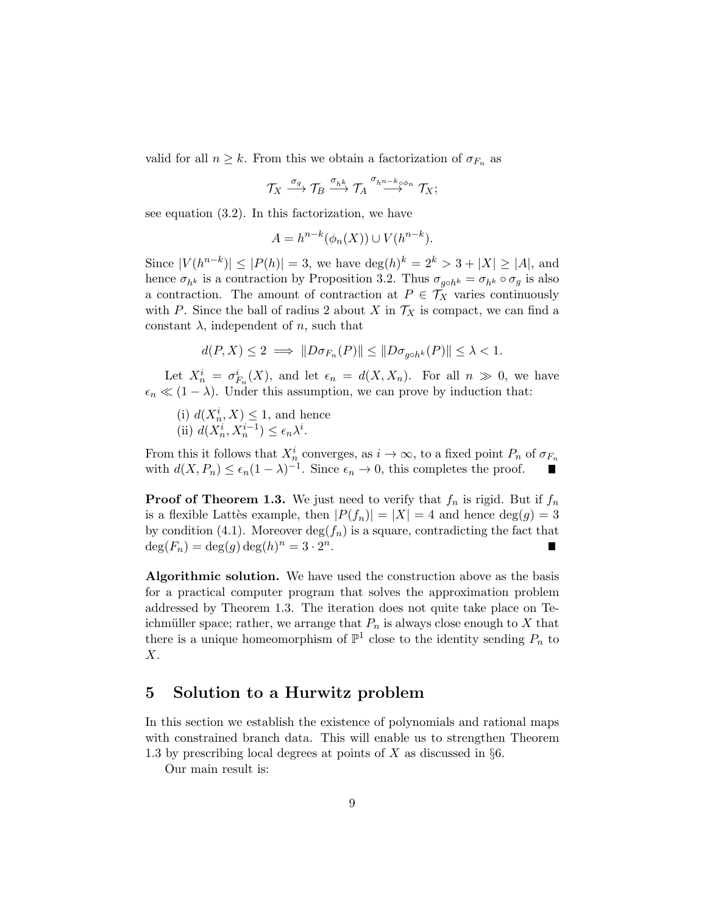valid for all  $n \geq k$ . From this we obtain a factorization of  $\sigma_{F_n}$  as

$$
\mathcal{T}_X \stackrel{\sigma_g}{\longrightarrow} \mathcal{T}_B \stackrel{\sigma_{hk}}{\longrightarrow} \mathcal{T}_A \stackrel{\sigma_{h^{n-k}\circ\phi_n}}{\longrightarrow} \mathcal{T}_X;
$$

see equation (3.2). In this factorization, we have

$$
A = h^{n-k}(\phi_n(X)) \cup V(h^{n-k}).
$$

Since  $|V(h^{n-k})| \leq |P(h)| = 3$ , we have  $\deg(h)^k = 2^k > 3 + |X| \geq |A|$ , and hence  $\sigma_{h^k}$  is a contraction by Proposition 3.2. Thus  $\sigma_{g \circ h^k} = \sigma_{h^k} \circ \sigma_g$  is also a contraction. The amount of contraction at  $P \in \mathcal{T}_X$  varies continuously with P. Since the ball of radius 2 about X in  $\mathcal{T}_X$  is compact, we can find a constant  $\lambda$ , independent of *n*, such that

$$
d(P, X) \le 2 \implies ||D\sigma_{F_n}(P)|| \le ||D\sigma_{g \circ h^k}(P)|| \le \lambda < 1.
$$

Let  $X_n^i = \sigma_{F_n}^i(X)$ , and let  $\epsilon_n = d(X, X_n)$ . For all  $n \gg 0$ , we have  $\epsilon_n \ll (1 - \lambda)$ . Under this assumption, we can prove by induction that:

(i)  $d(X_n^i, X) \leq 1$ , and hence (ii)  $d(X_n^i, X_n^{i-1}) \leq \epsilon_n \lambda^i$ .

From this it follows that  $X_n^i$  converges, as  $i \to \infty$ , to a fixed point  $P_n$  of  $\sigma_{F_n}$ with  $d(X, P_n) \leq \epsilon_n (1 - \lambda)^{-1}$ . Since  $\epsilon_n \to 0$ , this completes the proof.

**Proof of Theorem 1.3.** We just need to verify that  $f_n$  is rigid. But if  $f_n$ is a flexible Lattès example, then  $|P(f_n)| = |X| = 4$  and hence  $\deg(g) = 3$ by condition (4.1). Moreover  $\deg(f_n)$  is a square, contradicting the fact that  $deg(F_n) = deg(g) deg(h)^n = 3 \cdot 2^n.$ 

Algorithmic solution. We have used the construction above as the basis for a practical computer program that solves the approximation problem addressed by Theorem 1.3. The iteration does not quite take place on Teichmüller space; rather, we arrange that  $P_n$  is always close enough to X that there is a unique homeomorphism of  $\mathbb{P}^1$  close to the identity sending  $P_n$  to X.

### 5 Solution to a Hurwitz problem

In this section we establish the existence of polynomials and rational maps with constrained branch data. This will enable us to strengthen Theorem 1.3 by prescribing local degrees at points of X as discussed in  $\S6$ .

Our main result is: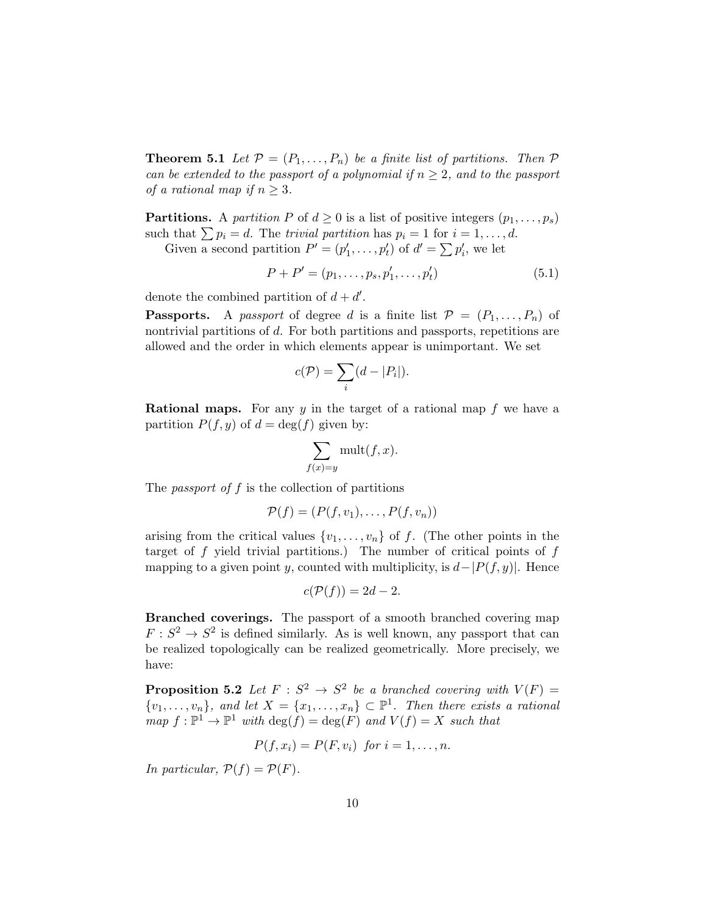**Theorem 5.1** Let  $\mathcal{P} = (P_1, \ldots, P_n)$  be a finite list of partitions. Then  $\mathcal{P}$ can be extended to the passport of a polynomial if  $n \geq 2$ , and to the passport of a rational map if  $n \geq 3$ .

**Partitions.** A partition P of  $d \geq 0$  is a list of positive integers  $(p_1, \ldots, p_s)$ such that  $\sum p_i = d$ . The trivial partition has  $p_i = 1$  for  $i = 1, \ldots, d$ .

Given a second partition  $P' = (p'_1, \ldots, p'_t)$  of  $d' = \sum p'_i$ , we let

$$
P + P' = (p_1, \dots, p_s, p'_1, \dots, p'_t)
$$
\n(5.1)

denote the combined partition of  $d + d'$ .

**Passports.** A passport of degree d is a finite list  $\mathcal{P} = (P_1, \ldots, P_n)$  of nontrivial partitions of d. For both partitions and passports, repetitions are allowed and the order in which elements appear is unimportant. We set

$$
c(\mathcal{P}) = \sum_i (d - |P_i|).
$$

**Rational maps.** For any y in the target of a rational map f we have a partition  $P(f, y)$  of  $d = \deg(f)$  given by:

$$
\sum_{f(x)=y} \text{mult}(f, x).
$$

The *passport of*  $f$  is the collection of partitions

$$
\mathcal{P}(f) = (P(f, v_1), \dots, P(f, v_n))
$$

arising from the critical values  $\{v_1, \ldots, v_n\}$  of f. (The other points in the target of f yield trivial partitions.) The number of critical points of  $f$ mapping to a given point y, counted with multiplicity, is  $d-|P(f, y)|$ . Hence

$$
c(\mathcal{P}(f)) = 2d - 2.
$$

Branched coverings. The passport of a smooth branched covering map  $F: S^2 \to S^2$  is defined similarly. As is well known, any passport that can be realized topologically can be realized geometrically. More precisely, we have:

**Proposition 5.2** Let  $F : S^2 \to S^2$  be a branched covering with  $V(F) =$  $\{v_1,\ldots,v_n\}$ , and let  $X = \{x_1,\ldots,x_n\} \subset \mathbb{P}^1$ . Then there exists a rational  $map f : \mathbb{P}^1 \to \mathbb{P}^1$  with  $\deg(f) = \deg(F)$  and  $V(f) = X$  such that

$$
P(f, x_i) = P(F, v_i) \text{ for } i = 1, \dots, n.
$$

In particular,  $\mathcal{P}(f) = \mathcal{P}(F)$ .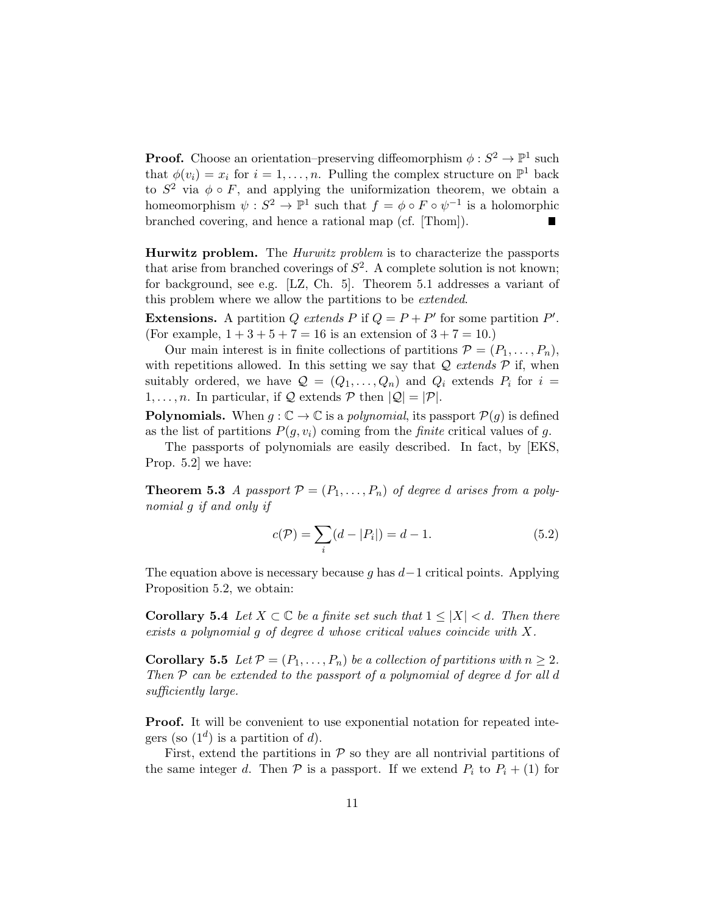**Proof.** Choose an orientation–preserving diffeomorphism  $\phi : S^2 \to \mathbb{P}^1$  such that  $\phi(v_i) = x_i$  for  $i = 1, ..., n$ . Pulling the complex structure on  $\mathbb{P}^1$  back to  $S^2$  via  $\phi \circ F$ , and applying the uniformization theorem, we obtain a homeomorphism  $\psi : S^2 \to \mathbb{P}^1$  such that  $f = \phi \circ F \circ \psi^{-1}$  is a holomorphic branched covering, and hence a rational map (cf. [Thom]). П

**Hurwitz problem.** The *Hurwitz problem* is to characterize the passports that arise from branched coverings of  $S^2$ . A complete solution is not known; for background, see e.g. [LZ, Ch. 5]. Theorem 5.1 addresses a variant of this problem where we allow the partitions to be *extended*.

**Extensions.** A partition Q extends P if  $Q = P + P'$  for some partition P'. (For example,  $1 + 3 + 5 + 7 = 16$  is an extension of  $3 + 7 = 10$ .)

Our main interest is in finite collections of partitions  $\mathcal{P} = (P_1, \ldots, P_n)$ , with repetitions allowed. In this setting we say that  $\mathcal Q$  extends  $\mathcal P$  if, when suitably ordered, we have  $\mathcal{Q} = (Q_1, \ldots, Q_n)$  and  $Q_i$  extends  $P_i$  for  $i =$  $1, \ldots, n$ . In particular, if Q extends P then  $|Q| = |P|$ .

**Polynomials.** When  $g : \mathbb{C} \to \mathbb{C}$  is a polynomial, its passport  $\mathcal{P}(g)$  is defined as the list of partitions  $P(g, v_i)$  coming from the *finite* critical values of g.

The passports of polynomials are easily described. In fact, by [EKS, Prop. 5.2] we have:

**Theorem 5.3** A passport  $\mathcal{P} = (P_1, \ldots, P_n)$  of degree d arises from a polynomial g if and only if

$$
c(\mathcal{P}) = \sum_{i} (d - |P_i|) = d - 1.
$$
 (5.2)

The equation above is necessary because g has  $d-1$  critical points. Applying Proposition 5.2, we obtain:

**Corollary 5.4** Let  $X \subset \mathbb{C}$  be a finite set such that  $1 \leq |X| < d$ . Then there exists a polynomial g of degree d whose critical values coincide with X.

**Corollary 5.5** Let  $\mathcal{P} = (P_1, \ldots, P_n)$  be a collection of partitions with  $n \geq 2$ . Then  $P$  can be extended to the passport of a polynomial of degree d for all d sufficiently large.

Proof. It will be convenient to use exponential notation for repeated integers (so  $(1^d)$  is a partition of d).

First, extend the partitions in  $P$  so they are all nontrivial partitions of the same integer d. Then  $P$  is a passport. If we extend  $P_i$  to  $P_i + (1)$  for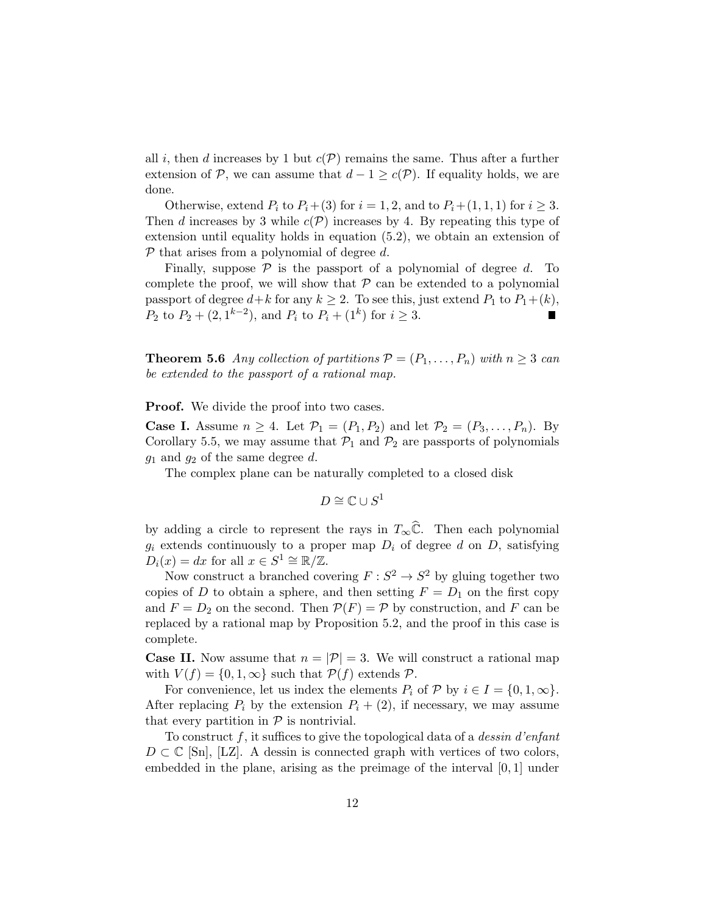all i, then d increases by 1 but  $c(\mathcal{P})$  remains the same. Thus after a further extension of P, we can assume that  $d - 1 \geq c(\mathcal{P})$ . If equality holds, we are done.

Otherwise, extend  $P_i$  to  $P_i+(3)$  for  $i=1, 2$ , and to  $P_i+(1, 1, 1)$  for  $i \geq 3$ . Then d increases by 3 while  $c(\mathcal{P})$  increases by 4. By repeating this type of extension until equality holds in equation (5.2), we obtain an extension of  $P$  that arises from a polynomial of degree d.

Finally, suppose  $P$  is the passport of a polynomial of degree d. To complete the proof, we will show that  $P$  can be extended to a polynomial passport of degree  $d+k$  for any  $k \geq 2$ . To see this, just extend  $P_1$  to  $P_1+(k)$ ,  $P_2$  to  $P_2 + (2, 1^{k-2})$ , and  $P_i$  to  $P_i + (1^k)$  for  $i \geq 3$ . П

**Theorem 5.6** Any collection of partitions  $P = (P_1, \ldots, P_n)$  with  $n \geq 3$  can be extended to the passport of a rational map.

**Proof.** We divide the proof into two cases.

**Case I.** Assume  $n \geq 4$ . Let  $\mathcal{P}_1 = (P_1, P_2)$  and let  $\mathcal{P}_2 = (P_3, \ldots, P_n)$ . By Corollary 5.5, we may assume that  $\mathcal{P}_1$  and  $\mathcal{P}_2$  are passports of polynomials  $g_1$  and  $g_2$  of the same degree d.

The complex plane can be naturally completed to a closed disk

$$
D \cong \mathbb{C} \cup S^1
$$

by adding a circle to represent the rays in  $T_{\infty}\hat{\mathbb{C}}$ . Then each polynomial  $g_i$  extends continuously to a proper map  $D_i$  of degree d on D, satisfying  $D_i(x) = dx$  for all  $x \in S^1 \cong \mathbb{R}/\mathbb{Z}$ .

Now construct a branched covering  $F: S^2 \to S^2$  by gluing together two copies of D to obtain a sphere, and then setting  $F = D_1$  on the first copy and  $F = D_2$  on the second. Then  $P(F) = P$  by construction, and F can be replaced by a rational map by Proposition 5.2, and the proof in this case is complete.

**Case II.** Now assume that  $n = |\mathcal{P}| = 3$ . We will construct a rational map with  $V(f) = \{0, 1, \infty\}$  such that  $\mathcal{P}(f)$  extends  $\mathcal{P}$ .

For convenience, let us index the elements  $P_i$  of  $P$  by  $i \in I = \{0, 1, \infty\}.$ After replacing  $P_i$  by the extension  $P_i + (2)$ , if necessary, we may assume that every partition in  $P$  is nontrivial.

To construct  $f$ , it suffices to give the topological data of a *dessin d'enfant*  $D \subset \mathbb{C}$  [Sn], [LZ]. A dessin is connected graph with vertices of two colors, embedded in the plane, arising as the preimage of the interval [0, 1] under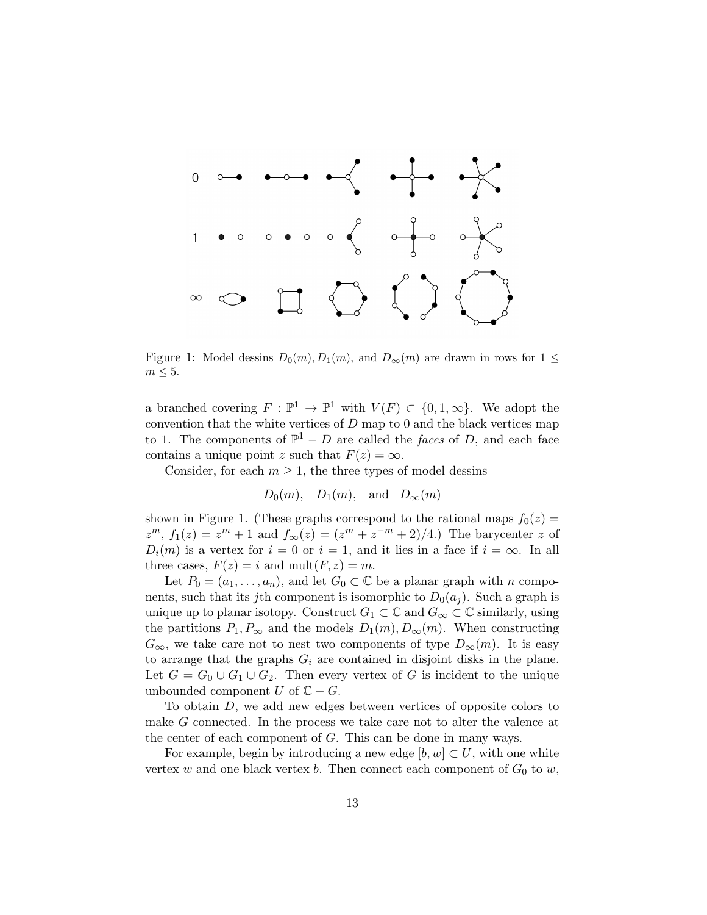

Figure 1: Model dessins  $D_0(m), D_1(m)$ , and  $D_{\infty}(m)$  are drawn in rows for  $1 \leq$  $m \leq 5$ .

a branched covering  $F : \mathbb{P}^1 \to \mathbb{P}^1$  with  $V(F) \subset \{0, 1, \infty\}$ . We adopt the convention that the white vertices of  $D$  map to 0 and the black vertices map to 1. The components of  $\mathbb{P}^1 - D$  are called the *faces* of D, and each face contains a unique point z such that  $F(z) = \infty$ .

Consider, for each  $m \geq 1$ , the three types of model dessins

 $D_0(m)$ ,  $D_1(m)$ , and  $D_{\infty}(m)$ 

shown in Figure 1. (These graphs correspond to the rational maps  $f_0(z)$  =  $z^m$ ,  $f_1(z) = z^m + 1$  and  $f_{\infty}(z) = (z^m + z^{-m} + 2)/4$ . The barycenter z of  $D_i(m)$  is a vertex for  $i = 0$  or  $i = 1$ , and it lies in a face if  $i = \infty$ . In all three cases,  $F(z) = i$  and  $mult(F, z) = m$ .

Let  $P_0 = (a_1, \ldots, a_n)$ , and let  $G_0 \subset \mathbb{C}$  be a planar graph with n components, such that its jth component is isomorphic to  $D_0(a_i)$ . Such a graph is unique up to planar isotopy. Construct  $G_1 \subset \mathbb{C}$  and  $G_{\infty} \subset \mathbb{C}$  similarly, using the partitions  $P_1, P_\infty$  and the models  $D_1(m), D_\infty(m)$ . When constructing  $G_{\infty}$ , we take care not to nest two components of type  $D_{\infty}(m)$ . It is easy to arrange that the graphs  $G_i$  are contained in disjoint disks in the plane. Let  $G = G_0 \cup G_1 \cup G_2$ . Then every vertex of G is incident to the unique unbounded component U of  $\mathbb{C} - G$ .

To obtain D, we add new edges between vertices of opposite colors to make G connected. In the process we take care not to alter the valence at the center of each component of G. This can be done in many ways.

For example, begin by introducing a new edge  $[b, w] \subset U$ , with one white vertex w and one black vertex b. Then connect each component of  $G_0$  to w,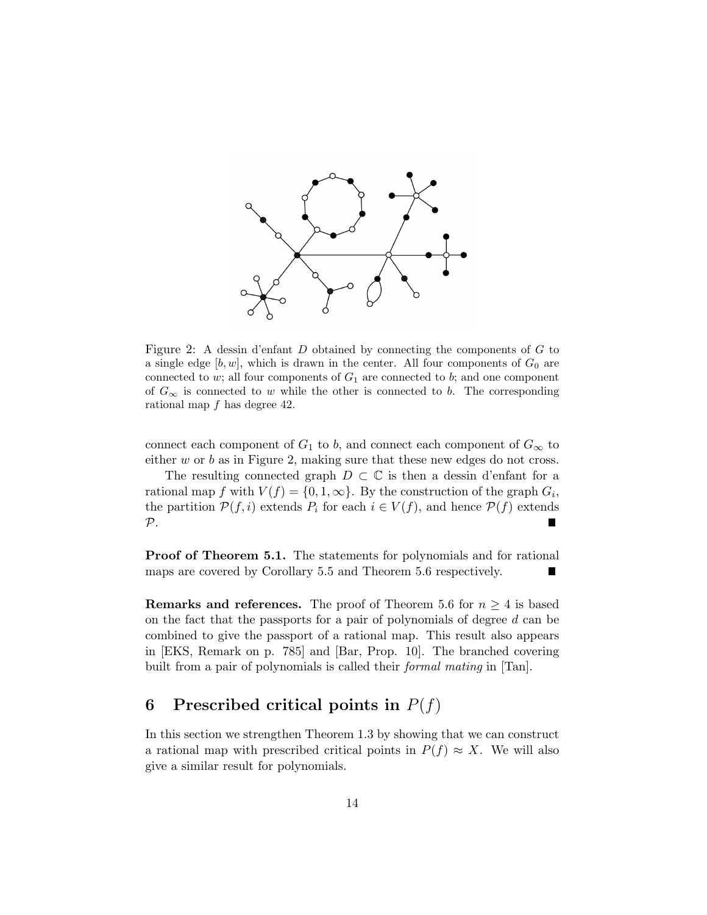

Figure 2: A dessin d'enfant D obtained by connecting the components of G to a single edge  $[b, w]$ , which is drawn in the center. All four components of  $G_0$  are connected to  $w$ ; all four components of  $G_1$  are connected to  $b$ ; and one component of  $G_{\infty}$  is connected to w while the other is connected to b. The corresponding rational map f has degree 42.

connect each component of  $G_1$  to b, and connect each component of  $G_{\infty}$  to either  $w$  or  $b$  as in Figure 2, making sure that these new edges do not cross.

The resulting connected graph  $D \subset \mathbb{C}$  is then a dessin d'enfant for a rational map f with  $V(f) = \{0, 1, \infty\}$ . By the construction of the graph  $G_i$ , the partition  $\mathcal{P}(f, i)$  extends  $P_i$  for each  $i \in V(f)$ , and hence  $\mathcal{P}(f)$  extends  $\mathcal{P}$ .

Proof of Theorem 5.1. The statements for polynomials and for rational maps are covered by Corollary 5.5 and Theorem 5.6 respectively.

**Remarks and references.** The proof of Theorem 5.6 for  $n \geq 4$  is based on the fact that the passports for a pair of polynomials of degree d can be combined to give the passport of a rational map. This result also appears in [EKS, Remark on p. 785] and [Bar, Prop. 10]. The branched covering built from a pair of polynomials is called their *formal mating* in [Tan].

### 6 Prescribed critical points in  $P(f)$

In this section we strengthen Theorem 1.3 by showing that we can construct a rational map with prescribed critical points in  $P(f) \approx X$ . We will also give a similar result for polynomials.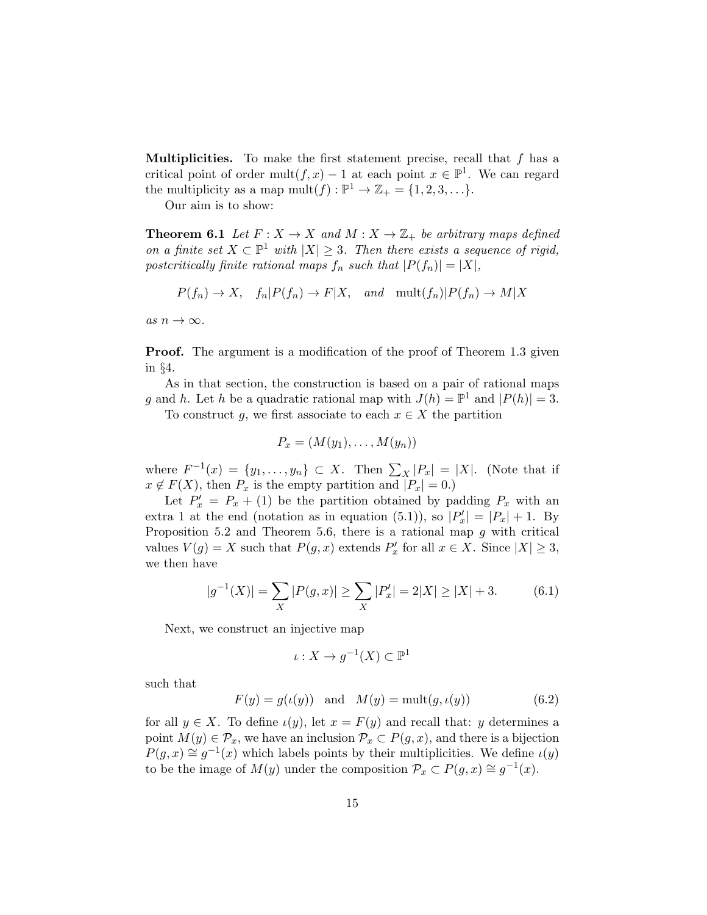**Multiplicities.** To make the first statement precise, recall that  $f$  has a critical point of order mult $(f, x) - 1$  at each point  $x \in \mathbb{P}^1$ . We can regard the multiplicity as a map  $mult(f) : \mathbb{P}^1 \to \mathbb{Z}_+ = \{1, 2, 3, \ldots\}.$ 

Our aim is to show:

**Theorem 6.1** Let  $F: X \to X$  and  $M: X \to \mathbb{Z}_+$  be arbitrary maps defined on a finite set  $X \subset \mathbb{P}^1$  with  $|X| \geq 3$ . Then there exists a sequence of rigid, postcritically finite rational maps  $f_n$  such that  $|P(f_n)| = |X|$ ,

$$
P(f_n) \to X
$$
,  $f_n|P(f_n) \to F|X$ , and  $\text{mult}(f_n)|P(f_n) \to M|X$ 

as  $n \to \infty$ .

**Proof.** The argument is a modification of the proof of Theorem 1.3 given in §4.

As in that section, the construction is based on a pair of rational maps g and h. Let h be a quadratic rational map with  $J(h) = \mathbb{P}^1$  and  $|P(h)| = 3$ . To construct g, we first associate to each  $x \in X$  the partition

$$
0 \quad \text{instructor} \quad g, \text{ we first associate to each } x \in A \text{ the particle}
$$

$$
P_x = (M(y_1), \ldots, M(y_n))
$$

where  $F^{-1}(x) = \{y_1, \ldots, y_n\} \subset X$ . Then  $\sum_X |P_x| = |X|$ . (Note that if  $x \notin F(X)$ , then  $P_x$  is the empty partition and  $|P_x| = 0$ .)

Let  $P'_x = P_x + (1)$  be the partition obtained by padding  $P_x$  with an extra 1 at the end (notation as in equation (5.1)), so  $|P'_x| = |P_x| + 1$ . By Proposition 5.2 and Theorem 5.6, there is a rational map  $q$  with critical values  $V(g) = X$  such that  $P(g, x)$  extends  $P'_x$  for all  $x \in X$ . Since  $|X| \geq 3$ , we then have

$$
|g^{-1}(X)| = \sum_{X} |P(g, x)| \ge \sum_{X} |P'_x| = 2|X| \ge |X| + 3. \tag{6.1}
$$

Next, we construct an injective map

$$
\iota: X \to g^{-1}(X) \subset \mathbb{P}^1
$$

such that

$$
F(y) = g(\iota(y)) \quad \text{and} \quad M(y) = \text{mult}(g, \iota(y)) \tag{6.2}
$$

for all  $y \in X$ . To define  $\iota(y)$ , let  $x = F(y)$  and recall that: y determines a point  $M(y) \in \mathcal{P}_x$ , we have an inclusion  $\mathcal{P}_x \subset P(g, x)$ , and there is a bijection  $P(g, x) \cong g^{-1}(x)$  which labels points by their multiplicities. We define  $\iota(y)$ to be the image of  $M(y)$  under the composition  $\mathcal{P}_x \subset P(g, x) \cong g^{-1}(x)$ .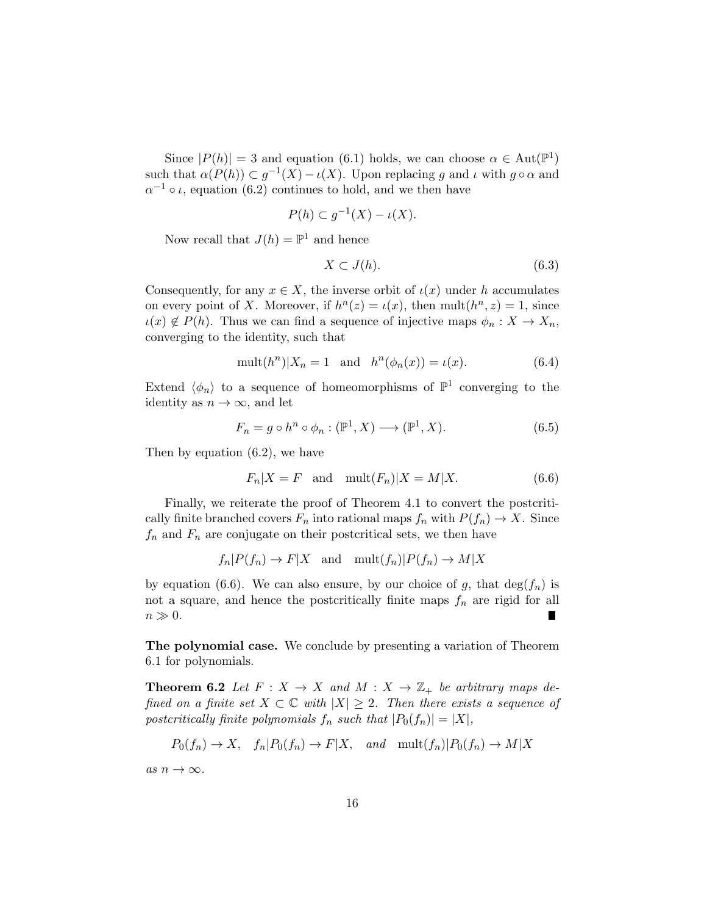Since  $|P(h)| = 3$  and equation (6.1) holds, we can choose  $\alpha \in Aut(\mathbb{P}^1)$ such that  $\alpha(P(h)) \subset g^{-1}(X) - \iota(X)$ . Upon replacing g and  $\iota$  with  $g \circ \alpha$  and  $\alpha^{-1} \circ \iota$ , equation (6.2) continues to hold, and we then have

$$
P(h) \subset g^{-1}(X) - \iota(X).
$$

Now recall that  $J(h) = \mathbb{P}^1$  and hence

$$
X \subset J(h). \tag{6.3}
$$

Consequently, for any  $x \in X$ , the inverse orbit of  $\iota(x)$  under h accumulates on every point of X. Moreover, if  $h^{n}(z) = \iota(x)$ , then mult $(h^{n}, z) = 1$ , since  $u(x) \notin P(h)$ . Thus we can find a sequence of injective maps  $\phi_n : X \to X_n$ , converging to the identity, such that

$$
\text{mult}(h^n)|X_n = 1 \quad \text{and} \quad h^n(\phi_n(x)) = \iota(x). \tag{6.4}
$$

Extend  $\langle \phi_n \rangle$  to a sequence of homeomorphisms of  $\mathbb{P}^1$  converging to the identity as  $n \to \infty$ , and let

$$
F_n = g \circ h^n \circ \phi_n : (\mathbb{P}^1, X) \longrightarrow (\mathbb{P}^1, X). \tag{6.5}
$$

Then by equation (6.2), we have

$$
F_n|X = F \quad \text{and} \quad \text{mult}(F_n)|X = M|X. \tag{6.6}
$$

Finally, we reiterate the proof of Theorem 4.1 to convert the postcritically finite branched covers  $F_n$  into rational maps  $f_n$  with  $P(f_n) \to X$ . Since  $f_n$  and  $F_n$  are conjugate on their postcritical sets, we then have

$$
f_n|P(f_n) \to F|X
$$
 and  $\text{mult}(f_n)|P(f_n) \to M|X$ 

by equation (6.6). We can also ensure, by our choice of g, that  $deg(f_n)$  is not a square, and hence the postcritically finite maps  $f_n$  are rigid for all  $n \gg 0$ .

The polynomial case. We conclude by presenting a variation of Theorem 6.1 for polynomials.

**Theorem 6.2** Let  $F: X \to X$  and  $M: X \to \mathbb{Z}_+$  be arbitrary maps defined on a finite set  $X \subset \mathbb{C}$  with  $|X| \geq 2$ . Then there exists a sequence of postcritically finite polynomials  $f_n$  such that  $|P_0(f_n)| = |X|$ ,

$$
P_0(f_n) \to X
$$
,  $f_n|P_0(f_n) \to F|X$ , and  $\text{mult}(f_n)|P_0(f_n) \to M|X$ 

as  $n \to \infty$ .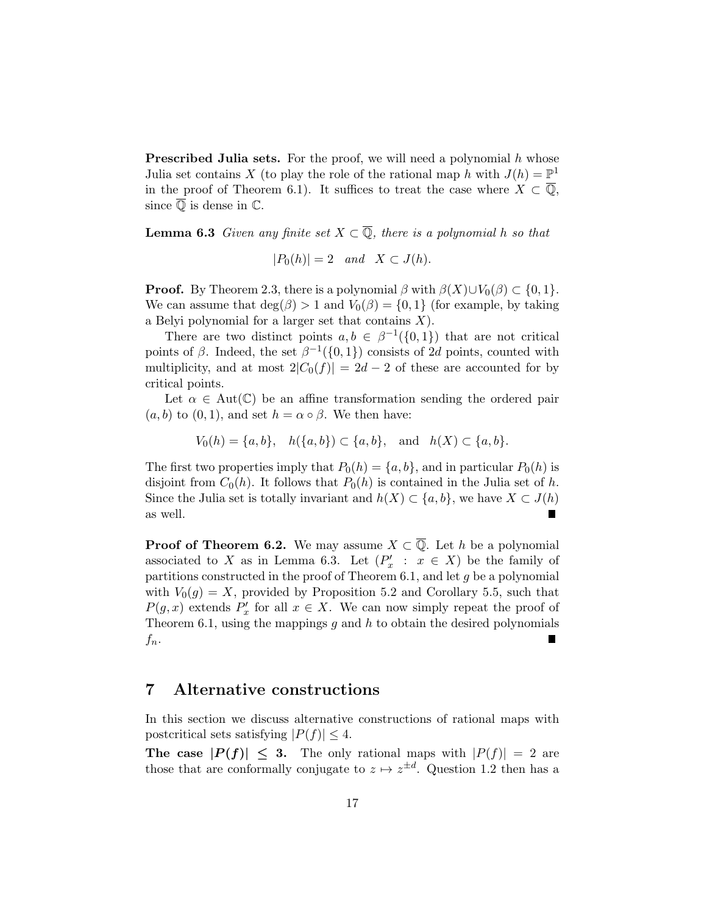**Prescribed Julia sets.** For the proof, we will need a polynomial  $h$  whose Julia set contains X (to play the role of the rational map h with  $J(h) = \mathbb{P}^1$ in the proof of Theorem 6.1). It suffices to treat the case where  $X \subset \overline{Q}$ , since  $\overline{\mathbb{Q}}$  is dense in  $\mathbb{C}$ .

**Lemma 6.3** Given any finite set  $X \subset \overline{Q}$ , there is a polynomial h so that

 $|P_0(h)| = 2$  and  $X \subset J(h)$ .

**Proof.** By Theorem 2.3, there is a polynomial  $\beta$  with  $\beta(X) \cup V_0(\beta) \subset \{0, 1\}$ . We can assume that  $\deg(\beta) > 1$  and  $V_0(\beta) = \{0, 1\}$  (for example, by taking a Belyi polynomial for a larger set that contains  $X$ ).

There are two distinct points  $a, b \in \beta^{-1}(\{0, 1\})$  that are not critical points of  $\beta$ . Indeed, the set  $\beta^{-1}(\{0,1\})$  consists of 2d points, counted with multiplicity, and at most  $2|C_0(f)| = 2d - 2$  of these are accounted for by critical points.

Let  $\alpha \in Aut(\mathbb{C})$  be an affine transformation sending the ordered pair  $(a, b)$  to  $(0, 1)$ , and set  $h = \alpha \circ \beta$ . We then have:

$$
V_0(h) = \{a, b\}, \quad h(\{a, b\}) \subset \{a, b\}, \quad \text{and} \quad h(X) \subset \{a, b\}.
$$

The first two properties imply that  $P_0(h) = \{a, b\}$ , and in particular  $P_0(h)$  is disjoint from  $C_0(h)$ . It follows that  $P_0(h)$  is contained in the Julia set of h. Since the Julia set is totally invariant and  $h(X) \subset \{a, b\}$ , we have  $X \subset J(h)$ as well. г

**Proof of Theorem 6.2.** We may assume  $X \subset \overline{Q}$ . Let h be a polynomial associated to X as in Lemma 6.3. Let  $(P'_x : x \in X)$  be the family of partitions constructed in the proof of Theorem 6.1, and let  $g$  be a polynomial with  $V_0(q) = X$ , provided by Proposition 5.2 and Corollary 5.5, such that  $P(g, x)$  extends  $P'_x$  for all  $x \in X$ . We can now simply repeat the proof of Theorem 6.1, using the mappings  $g$  and  $h$  to obtain the desired polynomials  $f_n$ .

### 7 Alternative constructions

In this section we discuss alternative constructions of rational maps with postcritical sets satisfying  $|P(f)| \leq 4$ .

The case  $|P(f)| \leq 3$ . The only rational maps with  $|P(f)| = 2$  are those that are conformally conjugate to  $z \mapsto z^{\pm d}$ . Question 1.2 then has a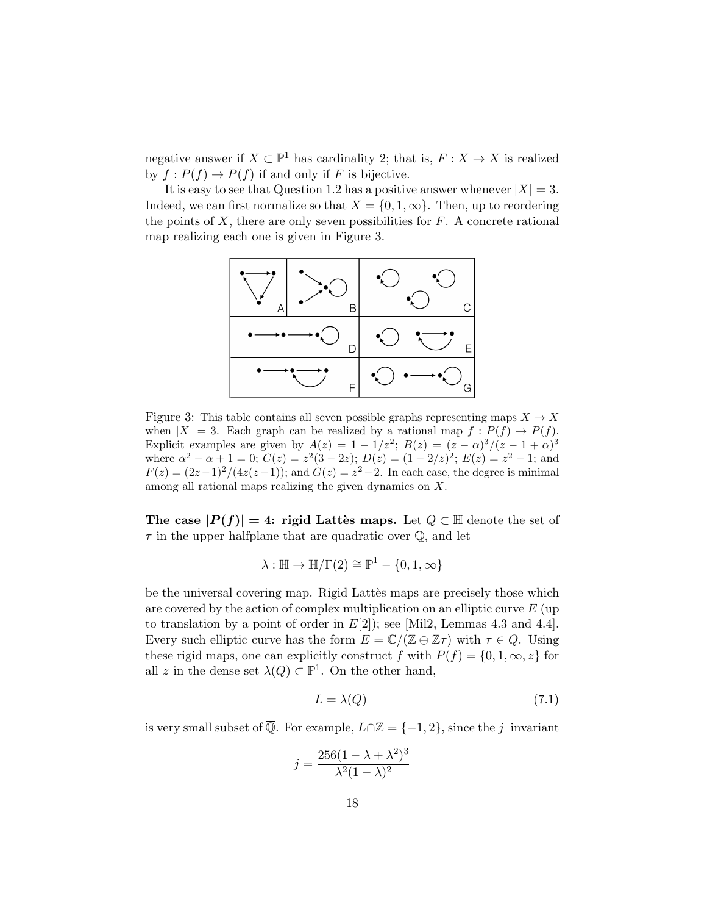negative answer if  $X \subset \mathbb{P}^1$  has cardinality 2; that is,  $F : X \to X$  is realized by  $f: P(f) \to P(f)$  if and only if F is bijective.

It is easy to see that Question 1.2 has a positive answer whenever  $|X| = 3$ . Indeed, we can first normalize so that  $X = \{0, 1, \infty\}$ . Then, up to reordering the points of  $X$ , there are only seven possibilities for  $F$ . A concrete rational map realizing each one is given in Figure 3.



Figure 3: This table contains all seven possible graphs representing maps  $X \to X$ when  $|X| = 3$ . Each graph can be realized by a rational map  $f : P(f) \to P(f)$ . Explicit examples are given by  $A(z) = 1 - 1/z^2$ ;  $B(z) = (z - \alpha)^3/(z - 1 + \alpha)^3$ where  $\alpha^2 - \alpha + 1 = 0$ ;  $C(z) = z^2(3 - 2z)$ ;  $D(z) = (1 - 2/z)^2$ ;  $E(z) = z^2 - 1$ ; and  $F(z) = (2z-1)^2/(4z(z-1))$ ; and  $G(z) = z^2-2$ . In each case, the degree is minimal among all rational maps realizing the given dynamics on X.

The case  $|P(f)| = 4$ : rigid Lattès maps. Let  $Q \subset \mathbb{H}$  denote the set of  $\tau$  in the upper halfplane that are quadratic over  $\mathbb{Q}$ , and let

$$
\lambda : \mathbb{H} \to \mathbb{H}/\Gamma(2) \cong \mathbb{P}^1 - \{0, 1, \infty\}
$$

be the universal covering map. Rigid Lattès maps are precisely those which are covered by the action of complex multiplication on an elliptic curve  $E$  (up to translation by a point of order in  $E[2]$ ; see [Mil2, Lemmas 4.3 and 4.4]. Every such elliptic curve has the form  $E = \mathbb{C}/(\mathbb{Z} \oplus \mathbb{Z} \tau)$  with  $\tau \in Q$ . Using these rigid maps, one can explicitly construct f with  $P(f) = \{0, 1, \infty, z\}$  for all z in the dense set  $\lambda(Q) \subset \mathbb{P}^1$ . On the other hand,

$$
L = \lambda(Q) \tag{7.1}
$$

is very small subset of  $\overline{\mathbb{Q}}$ . For example,  $L \cap \mathbb{Z} = \{-1, 2\}$ , since the j–invariant

$$
j = \frac{256(1 - \lambda + \lambda^2)^3}{\lambda^2 (1 - \lambda)^2}
$$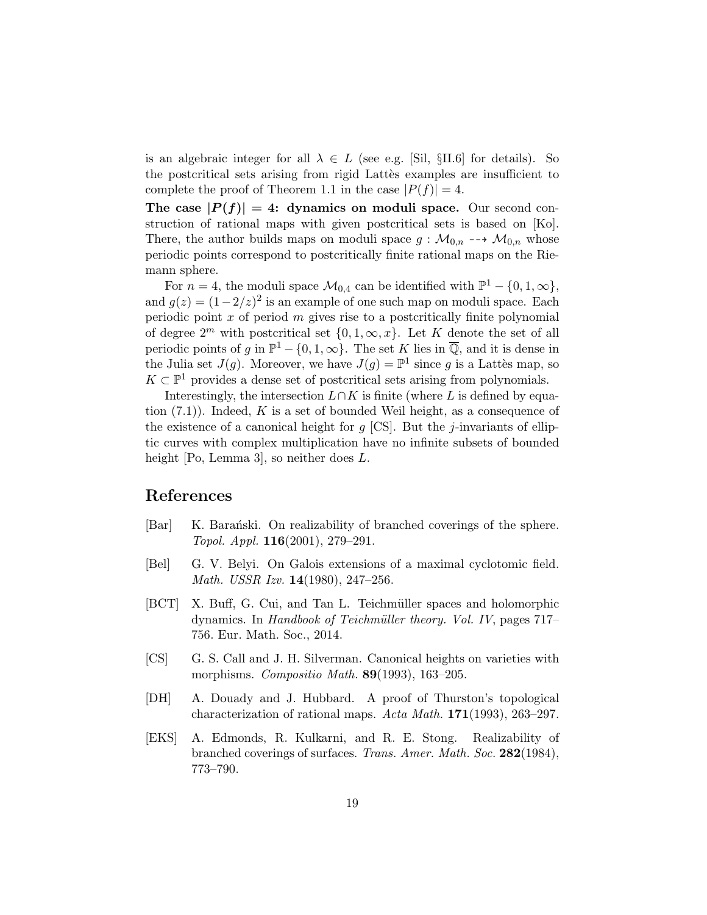is an algebraic integer for all  $\lambda \in L$  (see e.g. [Sil, §II.6] for details). So the postcritical sets arising from rigid Lattes examples are insufficient to complete the proof of Theorem 1.1 in the case  $|P(f)| = 4$ .

The case  $|P(f)| = 4$ : dynamics on moduli space. Our second construction of rational maps with given postcritical sets is based on [Ko]. There, the author builds maps on moduli space  $g : \mathcal{M}_{0,n} \dashrightarrow \mathcal{M}_{0,n}$  whose periodic points correspond to postcritically finite rational maps on the Riemann sphere.

For  $n = 4$ , the moduli space  $\mathcal{M}_{0,4}$  can be identified with  $\mathbb{P}^1 - \{0, 1, \infty\}$ , and  $g(z) = (1 - 2/z)^2$  is an example of one such map on moduli space. Each periodic point  $x$  of period  $m$  gives rise to a postcritically finite polynomial of degree  $2^m$  with postcritical set  $\{0, 1, \infty, x\}$ . Let K denote the set of all periodic points of g in  $\mathbb{P}^1 - \{0, 1, \infty\}$ . The set K lies in  $\overline{\mathbb{Q}}$ , and it is dense in the Julia set  $J(g)$ . Moreover, we have  $J(g) = \mathbb{P}^1$  since g is a Lattès map, so  $K \subset \mathbb{P}^1$  provides a dense set of postcritical sets arising from polynomials.

Interestingly, the intersection  $L \cap K$  is finite (where L is defined by equation  $(7.1)$ . Indeed, K is a set of bounded Weil height, as a consequence of the existence of a canonical height for  $q$  [CS]. But the *j*-invariants of elliptic curves with complex multiplication have no infinite subsets of bounded height [Po, Lemma 3], so neither does L.

### References

- [Bar] K. Baranski. On realizability of branched coverings of the sphere. Topol. Appl. 116(2001), 279–291.
- [Bel] G. V. Belyi. On Galois extensions of a maximal cyclotomic field. Math. USSR Izv. 14(1980), 247–256.
- [BCT] X. Buff, G. Cui, and Tan L. Teichmüller spaces and holomorphic dynamics. In Handbook of Teichmüller theory. Vol. IV, pages 717– 756. Eur. Math. Soc., 2014.
- [CS] G. S. Call and J. H. Silverman. Canonical heights on varieties with morphisms. Compositio Math. **89**(1993), 163-205.
- [DH] A. Douady and J. Hubbard. A proof of Thurston's topological characterization of rational maps. Acta Math. 171(1993), 263–297.
- [EKS] A. Edmonds, R. Kulkarni, and R. E. Stong. Realizability of branched coverings of surfaces. Trans. Amer. Math. Soc. 282(1984), 773–790.